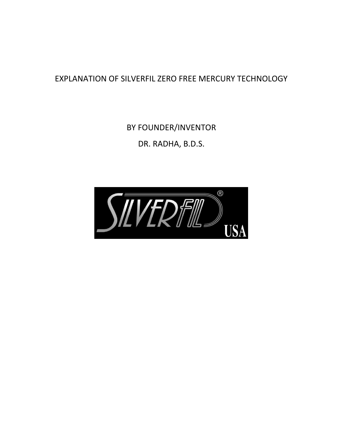# EXPLANATION OF SILVERFIL ZERO FREE MERCURY TECHNOLOGY

BY FOUNDER/INVENTOR DR. RADHA, B.D.S.

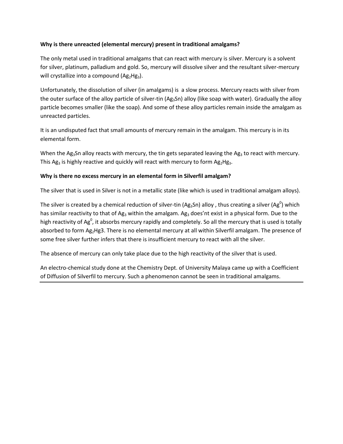#### **Why is there unreacted (elemental mercury) present in traditional amalgams?**

The only metal used in traditional amalgams that can react with mercury is silver. Mercury is a solvent for silver, platinum, palladium and gold. So, mercury will dissolve silver and the resultant silver-mercury will crystallize into a compound  $(Ag_2Hg_3)$ .

Unfortunately, the dissolution of silver (in amalgams) is a slow process. Mercury reacts with silver from the outer surface of the alloy particle of silver-tin (Ag<sub>3</sub>Sn) alloy (like soap with water). Gradually the alloy particle becomes smaller (like the soap). And some of these alloy particles remain inside the amalgam as unreacted particles.

It is an undisputed fact that small amounts of mercury remain in the amalgam. This mercury is in its elemental form.

When the Ag<sub>3</sub>Sn alloy reacts with mercury, the tin gets separated leaving the Ag<sub>3</sub> to react with mercury. This Ag<sub>3</sub> is highly reactive and quickly will react with mercury to form Ag<sub>2</sub>Hg<sub>3</sub>.

#### **Why is there no excess mercury in an elemental form in Silverfil amalgam?**

The silver that is used in Silver is not in a metallic state (like which is used in traditional amalgam alloys).

The silver is created by a chemical reduction of silver-tin (Ag<sub>3</sub>Sn) alloy , thus creating a silver (Ag<sup>0</sup>) which has similar reactivity to that of Ag<sub>3</sub> within the amalgam. Ag<sub>3</sub> does'nt exist in a physical form. Due to the high reactivity of Ag<sup>0</sup>, it absorbs mercury rapidly and completely. So all the mercury that is used is totally absorbed to form Ag<sub>2</sub>Hg3. There is no elemental mercury at all within Silverfil amalgam. The presence of some free silver further infers that there is insufficient mercury to react with all the silver.

The absence of mercury can only take place due to the high reactivity of the silver that is used.

An electro-chemical study done at the Chemistry Dept. of University Malaya came up with a Coefficient of Diffusion of Silverfil to mercury. Such a phenomenon cannot be seen in traditional amalgams.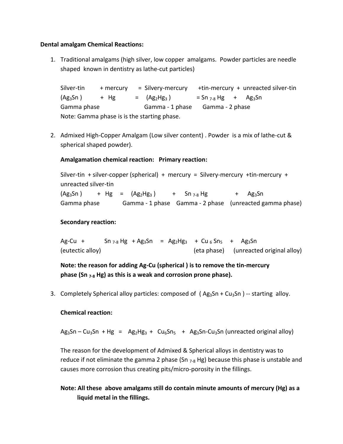### **Dental amalgam Chemical Reactions:**

1. Traditional amalgams (high silver, low copper amalgams. Powder particles are needle shaped known in dentistry as lathe-cut particles)

Silver-tin + mercury = Silvery-mercury +tin-mercury + unreacted silver-tin  $(Ag_3Sn)$  + Hg =  $(Ag_2Hg_3)$  = Sn  $_{7-8}$  Hg + Ag<sub>3</sub>Sn Gamma phase Gamma - 1 phase Gamma - 2 phase Note: Gamma phase is is the starting phase.

2. Admixed High-Copper Amalgam (Low silver content) . Powder is a mix of lathe-cut & spherical shaped powder).

## **Amalgamation chemical reaction: Primary reaction:**

Silver-tin + silver-copper (spherical) + mercury = Silvery-mercury +tin-mercury + unreacted silver-tin

 $(Ag_3Sn)$  + Hg =  $(Ag_2Hg_3)$  + Sn<sub>7-8</sub> Hg + Ag<sub>3</sub>Sn Gamma phase Gamma - 1 phase Gamma - 2 phase (unreacted gamma phase)

## **Secondary reaction:**

Ag-Cu + Sn  $7-8$  Hg + Ag<sub>3</sub>Sn = Ag<sub>2</sub>Hg<sub>3</sub> + Cu<sub>6</sub>Sn<sub>5</sub> + Ag<sub>3</sub>Sn (eutectic alloy) (eta phase) (unreacted original alloy)

**Note: the reason for adding Ag-Cu (spherical ) is to remove the tin-mercury phase (Sn 7-8 Hg) as this is a weak and corrosion prone phase).** 

3. Completely Spherical alloy particles: composed of  $(Ag_3Sn + Cu_3Sn) -$  starting alloy.

## **Chemical reaction:**

 $Ag_3Sn - Cu_3Sn + Hg = Ag_2Hg_3 + Cu_6Sn_5 + Ag_3Sn-Cu_3Sn$  (unreacted original alloy)

The reason for the development of Admixed & Spherical alloys in dentistry was to reduce if not eliminate the gamma 2 phase (Sn  $_{7-8}$  Hg) because this phase is unstable and causes more corrosion thus creating pits/micro-porosity in the fillings.

**Note: All these above amalgams still do contain minute amounts of mercury (Hg) as a liquid metal in the fillings.**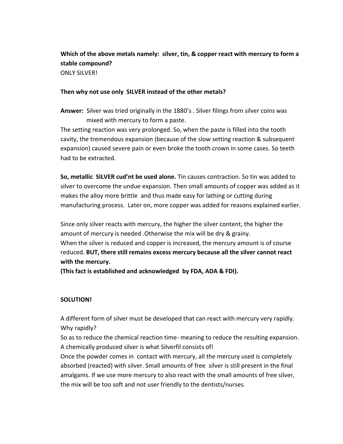## **Which of the above metals namely: silver, tin, & copper react with mercury to form a stable compound?**

ONLY SILVER!

### **Then why not use only SILVER instead of the other metals?**

**Answer:** Silver was tried originally in the 1880's . Silver filings from silver coins was mixed with mercury to form a paste.

The setting reaction was very prolonged. So, when the paste is filled into the tooth cavity, the tremendous expansion (because of the slow setting reaction & subsequent expansion) caused severe pain or even broke the tooth crown in some cases. So teeth had to be extracted.

**So, metallic SILVER cud'nt be used alone.** Tin causes contraction. So tin was added to silver to overcome the undue expansion. Then small amounts of copper was added as it makes the alloy more brittle and thus made easy for lathing or cutting during manufacturing process. Later on, more copper was added for reasons explained earlier.

Since only silver reacts with mercury, the higher the silver content, the higher the amount of mercury is needed .Otherwise the mix will be dry & grainy. When the silver is reduced and copper is increased, the mercury amount is of course reduced. **BUT, there still remains excess mercury because all the silver cannot react with the mercury.**

**(This fact is established and acknowledged by FDA, ADA & FDI).**

## **SOLUTION!**

A different form of silver must be developed that can react with mercury very rapidly. Why rapidly?

So as to reduce the chemical reaction time- meaning to reduce the resulting expansion. A chemically produced silver is what Silverfil consists of!

Once the powder comes in contact with mercury, all the mercury used is completely absorbed (reacted) with silver. Small amounts of free silver is still present in the final amalgams. If we use more mercury to also react with the small amounts of free silver, the mix will be too soft and not user friendly to the dentists/nurses.